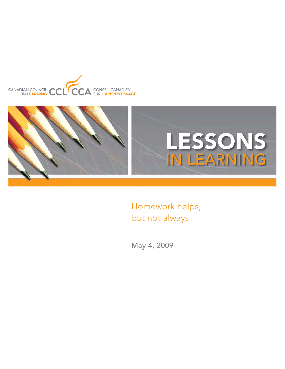



Homework helps, but not always

May 4, 2009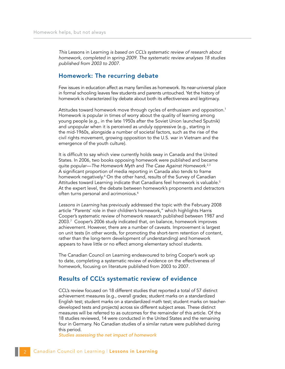*This* Lessons in Learning *is based on CCL's systematic review of research about homework, completed in spring 2009. The systematic review analyses 18 studies published from 2003 to 2007.*

## Homework: The recurring debate

Few issues in education affect as many families as homework. Its near-universal place in formal schooling leaves few students and parents untouched. Yet the history of homework is characterized by debate about both its effectiveness and legitimacy.

Attitudes toward homework move through cycles of enthusiasm and opposition.<sup>1</sup> Homework is popular in times of worry about the quality of learning among young people (e.g., in the late 1950s after the Soviet Union launched Sputnik) and unpopular when it is perceived as unduly oppressive (e.g., starting in the mid-1960s, alongside a number of societal factors, such as the rise of the civil rights movement, growing opposition to the U.S. war in Vietnam and the emergence of the youth culture).

It is difficult to say which view currently holds sway in Canada and the United States. In 2006, two books opposing homework were published and became quite popular—*The Homework Myth* and *The Case Against Homework*. 2,3 A significant proportion of media reporting in Canada also tends to frame homework negatively.4 On the other hand, results of the Survey of Canadian Attitudes toward Learning indicate that Canadians feel homework is valuable.<sup>5</sup> At the expert level, the debate between homework's proponents and detractors often turns personal and acrimonious.<sup>6</sup>

*Lessons in Learning* has previously addressed the topic with the February 2008 article "Parents' role in their children's homework," which highlights Harris Cooper's systematic review of homework research published between 1987 and 2003.7 Cooper's 2006 study indicated that, on balance, homework improves achievement. However, there are a number of caveats. Improvement is largest on unit tests (in other words, for promoting the short-term retention of content, rather than the long-term development of understanding) and homework appears to have little or no effect among elementary school students.

The Canadian Council on Learning endeavoured to bring Cooper's work up to date, completing a systematic review of evidence on the effectiveness of homework, focusing on literature published from 2003 to 2007.

## Results of CCL's systematic review of evidence

CCL's review focused on 18 different studies that reported a total of 57 distinct achievement measures (e.g., overall grades; student marks on a standardized English test; student marks on a standardized math test; student marks on teacherdeveloped tests and projects) across six different subject areas. These distinct measures will be referred to as outcomes for the remainder of this article. Of the 18 studies reviewed, 14 were conducted in the United States and the remaining four in Germany. No Canadian studies of a similar nature were published during this period.

*Studies assessing the net impact of homework*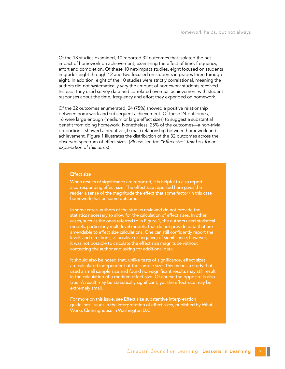Of the 18 studies examined, 10 reported 32 outcomes that isolated the net impact of homework on achievement, examining the effect of time, frequency, effort and completion. Of these 10 net-impact studies, eight focused on students in grades eight through 12 and two focused on students in grades three through eight. In addition, eight of the 10 studies were strictly correlational, meaning the authors did not systematically vary the amount of homework students received. Instead, they used survey data and correlated eventual achievement with student responses about the time, frequency and effort they expended on homework.

Of the 32 outcomes enumerated, 24 (75%) showed a positive relationship between homework and subsequent achievement. Of these 24 outcomes, 16 were large enough (medium or large effect sizes) to suggest a substantial benefit from doing homework. Nonetheless, 25% of the outcomes—a non-trivial proportion—showed a negative (if small) relationship between homework and achievement. Figure 1 illustrates the distribution of the 32 outcomes across the observed spectrum of effect sizes. (*Please see the "Effect size" text box for an explanation of this term.*)

#### Effect size

When results of significance are reported, it is helpful to also report a corresponding effect size. The effect size reported here gives the reader a sense of the magnitude the effect that some factor (in this case homework) has on some outcome.

In some cases, authors of the studies reviewed do not provide the statistics necessary to allow for the calculation of effect sizes. In other cases, such as the ones referred to in Figure 1, the authors used statistical models, particularly multi-level models, that do not provide data that are amendable to effect size calculations. One can still confidently report the levels and direction (i.e. positive or negative) of significance; however, it was not possible to calculate the effect size magnitude without contacting the author and asking for additional data.

It should also be noted that, unlike tests of significance, effect sizes are calculated independent of the sample size. This means a study that used a small sample size and found non-significant results may still result in the calculation of a medium effect-size. Of course the opposite is also true. A result may be statistically significant, yet the effect size may be extremely small.

For more on this issue, see Effect size substantive interpretation guidelines: Issues in the interpretation of effect sizes, published by What Works Clearinghouse in Washington D.C.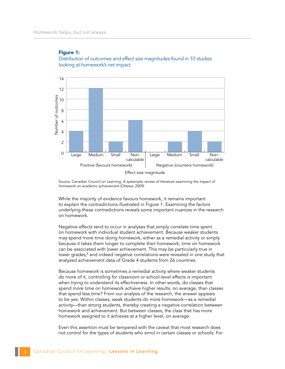

Figure 1: Distribution of outcomes and effect size magnitudes found in 10 studies looking at homework's net impact

Source: Canadian Council on Learning, *A systematic review of literature examining the impact of homework on academic achievement* (Ottawa: 2009)

While the majority of evidence favours homework, it remains important to explain the contradictions illustrated in Figure 1. Examining the factors underlying these contradictions reveals some important nuances in the research on homework.

Negative effects tend to occur in analyses that simply correlate time spent on homework with individual student achievement. Because weaker students may spend more time doing homework, either as a remedial activity or simply because it takes them longer to complete their homework, time on homework can be associated with lower achievement. This may be particularly true in lower grades, $^8$  and indeed negative correlations were revealed in one study that analyzed achievement data of Grade 4 students from 26 countries.

Because homework is sometimes a remedial activity where weaker students do more of it, controlling for classroom or school-level effects is important when trying to understand its effectiveness. In other words, do classes that spend more time on homework achieve higher results, on average, than classes that spend less time? From our analysis of the research, the answer appears to be yes. Within classes, weak students do more homework—as a remedial activity—than strong students, thereby creating a negative correlation between homework and achievement. But between classes, the class that has more homework assigned to it achieves at a higher level, on average.

Even this assertion must be tempered with the caveat that most research does not control for the types of students who enrol in certain classes or schools. For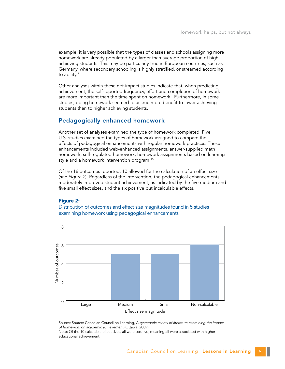example, it is very possible that the types of classes and schools assigning more homework are already populated by a larger than average proportion of highachieving students. This may be particularly true in European countries, such as Germany, where secondary schooling is highly stratified, or streamed according to ability.<sup>9</sup>

Other analyses within these net-impact studies indicate that, when predicting achievement, the self-reported frequency, effort and completion of homework are more important than the time spent on homework. Furthermore, in some studies, doing homework seemed to accrue more benefit to lower achieving students than to higher achieving students.

# Pedagogically enhanced homework

Another set of analyses examined the type of homework completed. Five U.S. studies examined the types of homework assigned to compare the effects of pedagogical enhancements with regular homework practices. These enhancements included web-enhanced assignments, answer-supplied math homework, self-regulated homework, homework assignments based on learning style and a homework intervention program.<sup>10</sup>

Of the 16 outcomes reported, 10 allowed for the calculation of an effect size (*see Figure 2*). Regardless of the intervention, the pedagogical enhancements moderately improved student achievement, as indicated by the five medium and five small effect sizes, and the six positive but incalculable effects.

### Figure 2:

Distribution of outcomes and effect size magnitudes found in 5 studies examining homework using pedagogical enhancements



Source: Source: Canadian Council on Learning, *A systematic review of literature examining the impact of homework on academic achievement* (Ottawa: 2009) Note: Of the 10 calculable effect sizes, all were positive, meaning all were associated with higher educational achievement.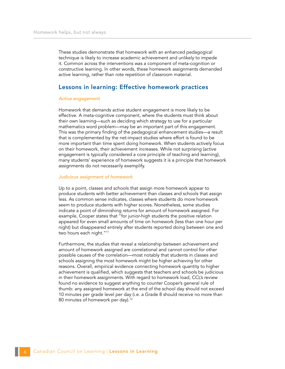These studies demonstrate that homework with an enhanced pedagogical technique is likely to increase academic achievement and unlikely to impede it. Common across the interventions was a component of meta-cognition or constructive learning. In other words, these homework assignments demanded active learning, rather than rote repetition of classroom material.

## Lessons in learning: Effective homework practices

#### *Active engagement*

Homework that demands active student engagement is more likely to be effective. A meta-cognitive component, where the students must think about their own learning—such as deciding which strategy to use for a particular mathematics word problem—may be an important part of this engagement. This was the primary finding of the pedagogical enhancement studies—a result that is complemented by the net-impact studies where effort is found to be more important than time spent doing homework. When students actively focus on their homework, their achievement increases. While not surprising (active engagement is typically considered a core principle of teaching and learning), many students' experience of homework suggests it is a principle that homework assignments do not necessarily exemplify.

#### *Judicious assignment of homework*

Up to a point, classes and schools that assign more homework appear to produce students with better achievement than classes and schools that assign less. As common sense indicates, classes where students do more homework seem to produce students with higher scores. Nonetheless, some studies indicate a point of diminishing returns for amount of homework assigned. For example, Cooper states that "for junior-high students the positive relation appeared for even small amounts of time on homework (less than one hour per night) but disappeared entirely after students reported doing between one and two hours each night."<sup>11</sup>

Furthermore, the studies that reveal a relationship between achievement and amount of homework assigned are correlational and cannot control for other possible causes of the correlation—most notably that students in classes and schools assigning the most homework might be higher achieving for other reasons. Overall, empirical evidence connecting homework quantity to higher achievement is qualified, which suggests that teachers and schools be judicious in their homework assignments. With regard to homework load, CCL's review found no evidence to suggest anything to counter Cooper's general rule of thumb: any assigned homework at the end of the school day should not exceed 10 minutes per grade level per day (i.e. a Grade 8 should receive no more than 80 minutes of homework per day).<sup>12</sup>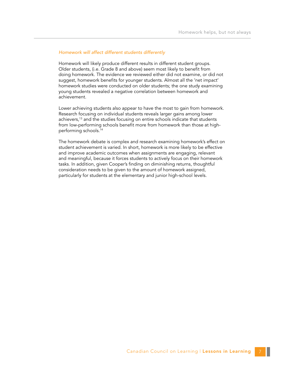### *Homework will affect different students differently*

Homework will likely produce different results in different student groups. Older students, (i.e. Grade 8 and above) seem most likely to benefit from doing homework. The evidence we reviewed either did not examine, or did not suggest, homework benefits for younger students. Almost all the 'net impact' homework studies were conducted on older students; the one study examining young students revealed a negative correlation between homework and achievement.

Lower achieving students also appear to have the most to gain from homework. Research focusing on individual students reveals larger gains among lower achievers,<sup>13</sup> and the studies focusing on entire schools indicate that students from low-performing schools benefit more from homework than those at highperforming schools.14

The homework debate is complex and research examining homework's effect on student achievement is varied. In short, homework is more likely to be effective and improve academic outcomes when assignments are engaging, relevant and meaningful, because it forces students to actively focus on their homework tasks. In addition, given Cooper's finding on diminishing returns, thoughtful consideration needs to be given to the amount of homework assigned, particularly for students at the elementary and junior high-school levels.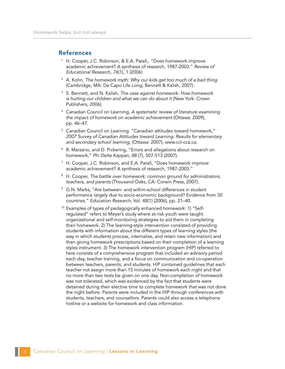### References

- <sup>1</sup> H. Cooper, J.C. Robinson, & E.A. Patall,. "Does homework improve academic achievement? A synthesis of research, 1987-2003." *Review of Educational Research, 76*(1), 1 (2006)
- <sup>2</sup> A. Kohn, *The homework myth: Why our kids get too much of a bad thing* (Cambridge, MA: Da Capo Life Long; Bennett & Kalish, 2007).
- <sup>3</sup> S. Bennett, and N. Kalish, *The case against homework: How homework is hurting our children and what we can do about it* (New York: Crown Publishers, 2006).
- <sup>4</sup> Canadian Council on Learning, *A systematic review of literature examining the impact of homework on academic achievement* (Ottawa: 2009), pp. 46–47.
- <sup>5</sup> Canadian Council on Learning. "Canadian attitudes toward homework," *2007 Survey of Canadian Attitudes toward Learning: Results for elementary and secondary school learning*, (Ottawa: 2007), www.ccl-cca.ca.
- <sup>6</sup> R. Marzano, and D. Pickering, "Errors and allegations about research on homework," *Phi Delta Kappan, 88* (7), 507-513 (2007).
- <sup>7</sup> H. Cooper, J.C. Robinson, and E.A. Patall, "Does homework improve academic achievement? A synthesis of research, 1987-2003."
- <sup>8</sup> H. Cooper, *The battle over homework: common ground for administrators, teachers, and parents* (Thousand Oaks, CA: Corwin Press, 2007).
- <sup>9</sup> G.N. Marks, "Are between- and within-school differences in student performance largely due to socio-economic background? Evidence from 30 countries." *Education Research*, Vol. 48(1) (2006), pp. 21–40.
- <sup>10</sup> Examples of types of pedagogically enhanced homework: 1) "Selfregulated" refers to Meyer's study where at-risk youth were taught organizational and self-monitoring strategies to aid them in completing their homework. 2) The learning-style intervention consisted of providing students with information about the different types of learning styles (the way in which students process, internalize, and retain new information) and then giving homework prescriptions based on their completion of a learning styles instrument. 3) The homework intervention program (HIP) referred to here consists of a comprehensive program that included an advisory period each day, teacher training, and a focus on communication and co-operation between teachers, parents, and students. HIP contained guidelines that each teacher not assign more than 15 minutes of homework each night and that no more than two tests be given on one day. Non-completion of homework was not tolerated, which was evidenced by the fact that students were detained during their elective time to complete homework that was not done the night before. Parents were included in the HIP through conferences with students, teachers, and counsellors. Parents could also access a telephone hotline or a website for homework and class information.